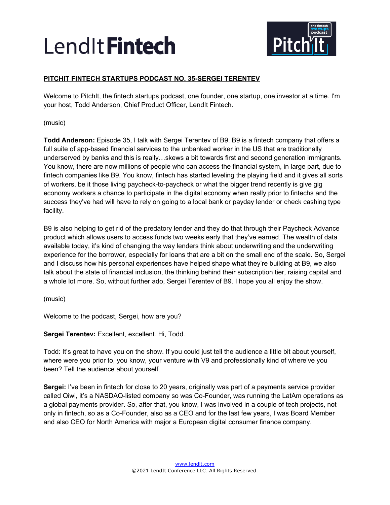

## **PITCHIT FINTECH STARTUPS PODCAST NO. 35-SERGEI TERENTEV**

Welcome to PitchIt, the fintech startups podcast, one founder, one startup, one investor at a time. I'm your host, Todd Anderson, Chief Product Officer, LendIt Fintech.

(music)

**Todd Anderson:** Episode 35, I talk with Sergei Terentev of B9. B9 is a fintech company that offers a full suite of app-based financial services to the unbanked worker in the US that are traditionally underserved by banks and this is really…skews a bit towards first and second generation immigrants. You know, there are now millions of people who can access the financial system, in large part, due to fintech companies like B9. You know, fintech has started leveling the playing field and it gives all sorts of workers, be it those living paycheck-to-paycheck or what the bigger trend recently is give gig economy workers a chance to participate in the digital economy when really prior to fintechs and the success they've had will have to rely on going to a local bank or payday lender or check cashing type facility.

B9 is also helping to get rid of the predatory lender and they do that through their Paycheck Advance product which allows users to access funds two weeks early that they've earned. The wealth of data available today, it's kind of changing the way lenders think about underwriting and the underwriting experience for the borrower, especially for loans that are a bit on the small end of the scale. So, Sergei and I discuss how his personal experiences have helped shape what they're building at B9, we also talk about the state of financial inclusion, the thinking behind their subscription tier, raising capital and a whole lot more. So, without further ado, Sergei Terentev of B9. I hope you all enjoy the show.

(music)

Welcome to the podcast, Sergei, how are you?

**Sergei Terentev:** Excellent, excellent. Hi, Todd.

Todd: It's great to have you on the show. If you could just tell the audience a little bit about yourself, where were you prior to, you know, your venture with V9 and professionally kind of where've you been? Tell the audience about yourself.

**Sergei:** I've been in fintech for close to 20 years, originally was part of a payments service provider called Qiwi, it's a NASDAQ-listed company so was Co-Founder, was running the LatAm operations as a global payments provider. So, after that, you know, I was involved in a couple of tech projects, not only in fintech, so as a Co-Founder, also as a CEO and for the last few years, I was Board Member and also CEO for North America with major a European digital consumer finance company.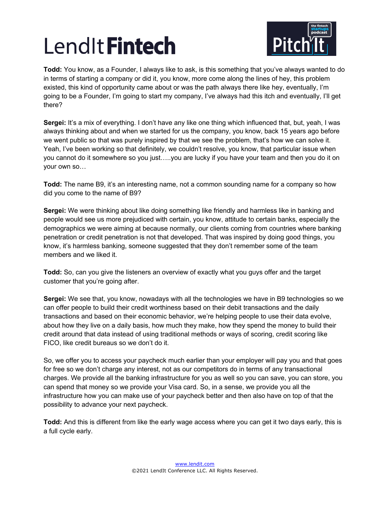

**Todd:** You know, as a Founder, I always like to ask, is this something that you've always wanted to do in terms of starting a company or did it, you know, more come along the lines of hey, this problem existed, this kind of opportunity came about or was the path always there like hey, eventually, I'm going to be a Founder, I'm going to start my company, I've always had this itch and eventually, I'll get there?

**Sergei:** It's a mix of everything. I don't have any like one thing which influenced that, but, yeah, I was always thinking about and when we started for us the company, you know, back 15 years ago before we went public so that was purely inspired by that we see the problem, that's how we can solve it. Yeah, I've been working so that definitely, we couldn't resolve, you know, that particular issue when you cannot do it somewhere so you just…..you are lucky if you have your team and then you do it on your own so…

**Todd:** The name B9, it's an interesting name, not a common sounding name for a company so how did you come to the name of B9?

**Sergei:** We were thinking about like doing something like friendly and harmless like in banking and people would see us more prejudiced with certain, you know, attitude to certain banks, especially the demographics we were aiming at because normally, our clients coming from countries where banking penetration or credit penetration is not that developed. That was inspired by doing good things, you know, it's harmless banking, someone suggested that they don't remember some of the team members and we liked it.

**Todd:** So, can you give the listeners an overview of exactly what you guys offer and the target customer that you're going after.

**Sergei:** We see that, you know, nowadays with all the technologies we have in B9 technologies so we can offer people to build their credit worthiness based on their debit transactions and the daily transactions and based on their economic behavior, we're helping people to use their data evolve, about how they live on a daily basis, how much they make, how they spend the money to build their credit around that data instead of using traditional methods or ways of scoring, credit scoring like FICO, like credit bureaus so we don't do it.

So, we offer you to access your paycheck much earlier than your employer will pay you and that goes for free so we don't charge any interest, not as our competitors do in terms of any transactional charges. We provide all the banking infrastructure for you as well so you can save, you can store, you can spend that money so we provide your Visa card. So, in a sense, we provide you all the infrastructure how you can make use of your paycheck better and then also have on top of that the possibility to advance your next paycheck.

**Todd:** And this is different from like the early wage access where you can get it two days early, this is a full cycle early.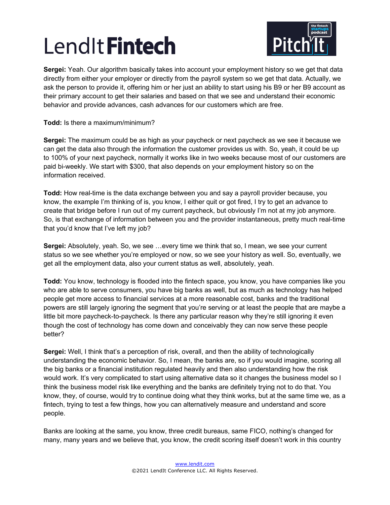

**Sergei:** Yeah. Our algorithm basically takes into account your employment history so we get that data directly from either your employer or directly from the payroll system so we get that data. Actually, we ask the person to provide it, offering him or her just an ability to start using his B9 or her B9 account as their primary account to get their salaries and based on that we see and understand their economic behavior and provide advances, cash advances for our customers which are free.

**Todd:** Is there a maximum/minimum?

**Sergei:** The maximum could be as high as your paycheck or next paycheck as we see it because we can get the data also through the information the customer provides us with. So, yeah, it could be up to 100% of your next paycheck, normally it works like in two weeks because most of our customers are paid bi-weekly. We start with \$300, that also depends on your employment history so on the information received.

**Todd:** How real-time is the data exchange between you and say a payroll provider because, you know, the example I'm thinking of is, you know, I either quit or got fired, I try to get an advance to create that bridge before I run out of my current paycheck, but obviously I'm not at my job anymore. So, is that exchange of information between you and the provider instantaneous, pretty much real-time that you'd know that I've left my job?

**Sergei:** Absolutely, yeah. So, we see …every time we think that so, I mean, we see your current status so we see whether you're employed or now, so we see your history as well. So, eventually, we get all the employment data, also your current status as well, absolutely, yeah.

**Todd:** You know, technology is flooded into the fintech space, you know, you have companies like you who are able to serve consumers, you have big banks as well, but as much as technology has helped people get more access to financial services at a more reasonable cost, banks and the traditional powers are still largely ignoring the segment that you're serving or at least the people that are maybe a little bit more paycheck-to-paycheck. Is there any particular reason why they're still ignoring it even though the cost of technology has come down and conceivably they can now serve these people better?

**Sergei:** Well, I think that's a perception of risk, overall, and then the ability of technologically understanding the economic behavior. So, I mean, the banks are, so if you would imagine, scoring all the big banks or a financial institution regulated heavily and then also understanding how the risk would work. It's very complicated to start using alternative data so it changes the business model so I think the business model risk like everything and the banks are definitely trying not to do that. You know, they, of course, would try to continue doing what they think works, but at the same time we, as a fintech, trying to test a few things, how you can alternatively measure and understand and score people.

Banks are looking at the same, you know, three credit bureaus, same FICO, nothing's changed for many, many years and we believe that, you know, the credit scoring itself doesn't work in this country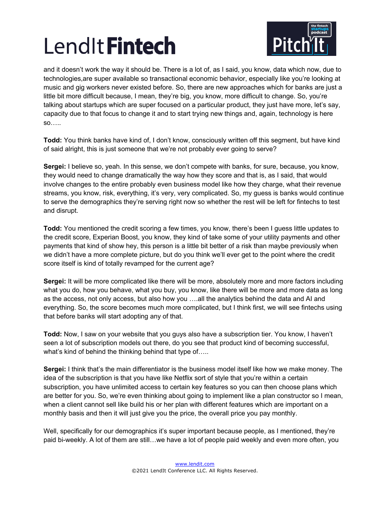

and it doesn't work the way it should be. There is a lot of, as I said, you know, data which now, due to technologies,are super available so transactional economic behavior, especially like you're looking at music and gig workers never existed before. So, there are new approaches which for banks are just a little bit more difficult because, I mean, they're big, you know, more difficult to change. So, you're talking about startups which are super focused on a particular product, they just have more, let's say, capacity due to that focus to change it and to start trying new things and, again, technology is here so…..

**Todd:** You think banks have kind of, I don't know, consciously written off this segment, but have kind of said alright, this is just someone that we're not probably ever going to serve?

**Sergei:** I believe so, yeah. In this sense, we don't compete with banks, for sure, because, you know, they would need to change dramatically the way how they score and that is, as I said, that would involve changes to the entire probably even business model like how they charge, what their revenue streams, you know, risk, everything, it's very, very complicated. So, my guess is banks would continue to serve the demographics they're serving right now so whether the rest will be left for fintechs to test and disrupt.

**Todd:** You mentioned the credit scoring a few times, you know, there's been I guess little updates to the credit score, Experian Boost, you know, they kind of take some of your utility payments and other payments that kind of show hey, this person is a little bit better of a risk than maybe previously when we didn't have a more complete picture, but do you think we'll ever get to the point where the credit score itself is kind of totally revamped for the current age?

**Sergei:** It will be more complicated like there will be more, absolutely more and more factors including what you do, how you behave, what you buy, you know, like there will be more and more data as long as the access, not only access, but also how you ….all the analytics behind the data and AI and everything. So, the score becomes much more complicated, but I think first, we will see fintechs using that before banks will start adopting any of that.

**Todd:** Now, I saw on your website that you guys also have a subscription tier. You know, I haven't seen a lot of subscription models out there, do you see that product kind of becoming successful, what's kind of behind the thinking behind that type of.....

**Sergei:** I think that's the main differentiator is the business model itself like how we make money. The idea of the subscription is that you have like Netflix sort of style that you're within a certain subscription, you have unlimited access to certain key features so you can then choose plans which are better for you. So, we're even thinking about going to implement like a plan constructor so I mean, when a client cannot sell like build his or her plan with different features which are important on a monthly basis and then it will just give you the price, the overall price you pay monthly.

Well, specifically for our demographics it's super important because people, as I mentioned, they're paid bi-weekly. A lot of them are still…we have a lot of people paid weekly and even more often, you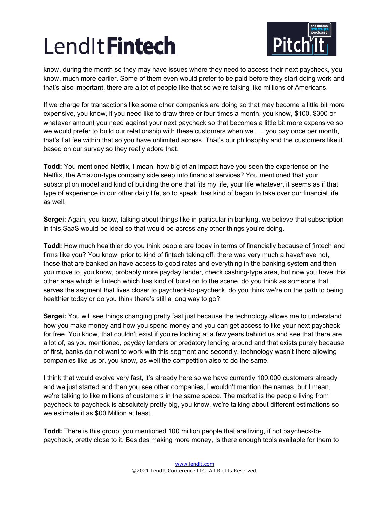

know, during the month so they may have issues where they need to access their next paycheck, you know, much more earlier. Some of them even would prefer to be paid before they start doing work and that's also important, there are a lot of people like that so we're talking like millions of Americans.

If we charge for transactions like some other companies are doing so that may become a little bit more expensive, you know, if you need like to draw three or four times a month, you know, \$100, \$300 or whatever amount you need against your next paycheck so that becomes a little bit more expensive so we would prefer to build our relationship with these customers when we …..you pay once per month, that's flat fee within that so you have unlimited access. That's our philosophy and the customers like it based on our survey so they really adore that.

**Todd:** You mentioned Netflix, I mean, how big of an impact have you seen the experience on the Netflix, the Amazon-type company side seep into financial services? You mentioned that your subscription model and kind of building the one that fits my life, your life whatever, it seems as if that type of experience in our other daily life, so to speak, has kind of began to take over our financial life as well.

**Sergei:** Again, you know, talking about things like in particular in banking, we believe that subscription in this SaaS would be ideal so that would be across any other things you're doing.

**Todd:** How much healthier do you think people are today in terms of financially because of fintech and firms like you? You know, prior to kind of fintech taking off, there was very much a have/have not, those that are banked an have access to good rates and everything in the banking system and then you move to, you know, probably more payday lender, check cashing-type area, but now you have this other area which is fintech which has kind of burst on to the scene, do you think as someone that serves the segment that lives closer to paycheck-to-paycheck, do you think we're on the path to being healthier today or do you think there's still a long way to go?

**Sergei:** You will see things changing pretty fast just because the technology allows me to understand how you make money and how you spend money and you can get access to like your next paycheck for free. You know, that couldn't exist if you're looking at a few years behind us and see that there are a lot of, as you mentioned, payday lenders or predatory lending around and that exists purely because of first, banks do not want to work with this segment and secondly, technology wasn't there allowing companies like us or, you know, as well the competition also to do the same.

I think that would evolve very fast, it's already here so we have currently 100,000 customers already and we just started and then you see other companies, I wouldn't mention the names, but I mean, we're talking to like millions of customers in the same space. The market is the people living from paycheck-to-paycheck is absolutely pretty big, you know, we're talking about different estimations so we estimate it as \$00 Million at least.

**Todd:** There is this group, you mentioned 100 million people that are living, if not paycheck-topaycheck, pretty close to it. Besides making more money, is there enough tools available for them to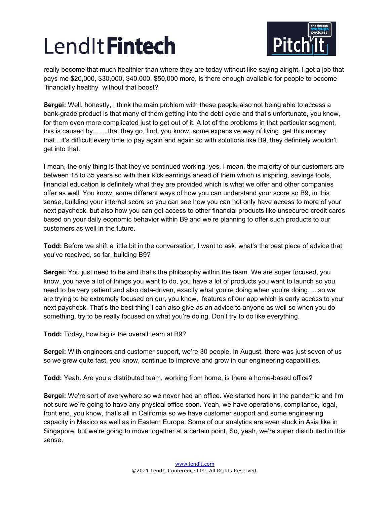

really become that much healthier than where they are today without like saying alright, I got a job that pays me \$20,000, \$30,000, \$40,000, \$50,000 more, is there enough available for people to become "financially healthy" without that boost?

**Sergei:** Well, honestly, I think the main problem with these people also not being able to access a bank-grade product is that many of them getting into the debt cycle and that's unfortunate, you know, for them even more complicated just to get out of it. A lot of the problems in that particular segment, this is caused by…….that they go, find, you know, some expensive way of living, get this money that…it's difficult every time to pay again and again so with solutions like B9, they definitely wouldn't get into that.

I mean, the only thing is that they've continued working, yes, I mean, the majority of our customers are between 18 to 35 years so with their kick earnings ahead of them which is inspiring, savings tools, financial education is definitely what they are provided which is what we offer and other companies offer as well. You know, some different ways of how you can understand your score so B9, in this sense, building your internal score so you can see how you can not only have access to more of your next paycheck, but also how you can get access to other financial products like unsecured credit cards based on your daily economic behavior within B9 and we're planning to offer such products to our customers as well in the future.

**Todd:** Before we shift a little bit in the conversation, I want to ask, what's the best piece of advice that you've received, so far, building B9?

**Sergei:** You just need to be and that's the philosophy within the team. We are super focused, you know, you have a lot of things you want to do, you have a lot of products you want to launch so you need to be very patient and also data-driven, exactly what you're doing when you're doing…..so we are trying to be extremely focused on our, you know, features of our app which is early access to your next paycheck. That's the best thing I can also give as an advice to anyone as well so when you do something, try to be really focused on what you're doing. Don't try to do like everything.

**Todd:** Today, how big is the overall team at B9?

**Sergei:** With engineers and customer support, we're 30 people. In August, there was just seven of us so we grew quite fast, you know, continue to improve and grow in our engineering capabilities.

**Todd:** Yeah. Are you a distributed team, working from home, is there a home-based office?

**Sergei:** We're sort of everywhere so we never had an office. We started here in the pandemic and I'm not sure we're going to have any physical office soon. Yeah, we have operations, compliance, legal, front end, you know, that's all in California so we have customer support and some engineering capacity in Mexico as well as in Eastern Europe. Some of our analytics are even stuck in Asia like in Singapore, but we're going to move together at a certain point, So, yeah, we're super distributed in this sense.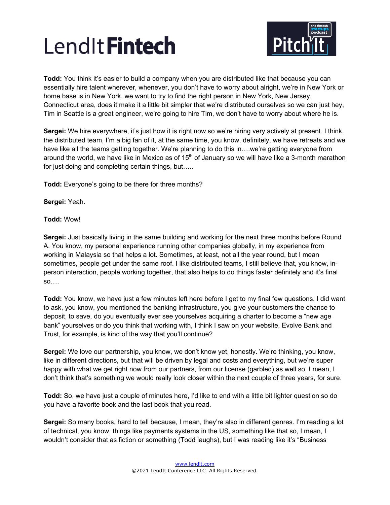

**Todd:** You think it's easier to build a company when you are distributed like that because you can essentially hire talent wherever, whenever, you don't have to worry about alright, we're in New York or home base is in New York, we want to try to find the right person in New York, New Jersey, Connecticut area, does it make it a little bit simpler that we're distributed ourselves so we can just hey, Tim in Seattle is a great engineer, we're going to hire Tim, we don't have to worry about where he is.

**Sergei:** We hire everywhere, it's just how it is right now so we're hiring very actively at present. I think the distributed team, I'm a big fan of it, at the same time, you know, definitely, we have retreats and we have like all the teams getting together. We're planning to do this in... we're getting everyone from around the world, we have like in Mexico as of 15<sup>th</sup> of January so we will have like a 3-month marathon for just doing and completing certain things, but.....

**Todd:** Everyone's going to be there for three months?

**Sergei:** Yeah.

**Todd:** Wow!

**Sergei:** Just basically living in the same building and working for the next three months before Round A. You know, my personal experience running other companies globally, in my experience from working in Malaysia so that helps a lot. Sometimes, at least, not all the year round, but I mean sometimes, people get under the same roof. I like distributed teams, I still believe that, you know, inperson interaction, people working together, that also helps to do things faster definitely and it's final so….

**Todd:** You know, we have just a few minutes left here before I get to my final few questions, I did want to ask, you know, you mentioned the banking infrastructure, you give your customers the chance to deposit, to save, do you eventually ever see yourselves acquiring a charter to become a "new age bank" yourselves or do you think that working with, I think I saw on your website, Evolve Bank and Trust, for example, is kind of the way that you'll continue?

**Sergei:** We love our partnership, you know, we don't know yet, honestly. We're thinking, you know, like in different directions, but that will be driven by legal and costs and everything, but we're super happy with what we get right now from our partners, from our license (garbled) as well so, I mean, I don't think that's something we would really look closer within the next couple of three years, for sure.

**Todd:** So, we have just a couple of minutes here, I'd like to end with a little bit lighter question so do you have a favorite book and the last book that you read.

**Sergei:** So many books, hard to tell because, I mean, they're also in different genres. I'm reading a lot of technical, you know, things like payments systems in the US, something like that so, I mean, I wouldn't consider that as fiction or something (Todd laughs), but I was reading like it's "Business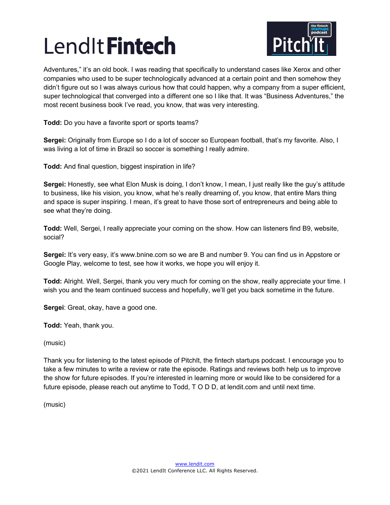

Adventures," it's an old book. I was reading that specifically to understand cases like Xerox and other companies who used to be super technologically advanced at a certain point and then somehow they didn't figure out so I was always curious how that could happen, why a company from a super efficient, super technological that converged into a different one so I like that. It was "Business Adventures," the most recent business book I've read, you know, that was very interesting.

**Todd:** Do you have a favorite sport or sports teams?

**Sergei:** Originally from Europe so I do a lot of soccer so European football, that's my favorite. Also, I was living a lot of time in Brazil so soccer is something I really admire.

**Todd:** And final question, biggest inspiration in life?

**Sergei:** Honestly, see what Elon Musk is doing, I don't know, I mean, I just really like the guy's attitude to business, like his vision, you know, what he's really dreaming of, you know, that entire Mars thing and space is super inspiring. I mean, it's great to have those sort of entrepreneurs and being able to see what they're doing.

**Todd:** Well, Sergei, I really appreciate your coming on the show. How can listeners find B9, website, social?

**Sergei:** It's very easy, it's www.bnine.com so we are B and number 9. You can find us in Appstore or Google Play, welcome to test, see how it works, we hope you will enjoy it.

**Todd:** Alright. Well, Sergei, thank you very much for coming on the show, really appreciate your time. I wish you and the team continued success and hopefully, we'll get you back sometime in the future.

**Sergei**: Great, okay, have a good one.

**Todd:** Yeah, thank you.

(music)

Thank you for listening to the latest episode of PitchIt, the fintech startups podcast. I encourage you to take a few minutes to write a review or rate the episode. Ratings and reviews both help us to improve the show for future episodes. If you're interested in learning more or would like to be considered for a future episode, please reach out anytime to Todd, T O D D, at lendit.com and until next time.

(music)